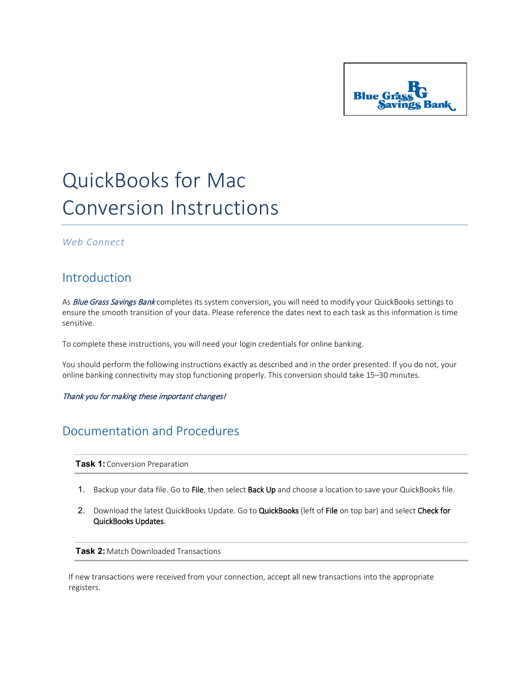

## QuickBooks for Mac Conversion Instructions

## *Web Connect*

## Introduction

As Blue Grass Savings Bank completes its system conversion, you will need to modify your QuickBooks settings to ensure the smooth transition of your data. Please reference the dates next to each task as this information is time sensitive.

To complete these instructions, you will need your login credentials for online banking.

You should perform the following instructions exactly as described and in the order presented. If you do not, your online banking connectivity may stop functioning properly. This conversion should take 15–30 minutes.

Thank you for making these important changes!

## Documentation and Procedures

**Task 1:** Conversion Preparation

- 1. Backup your data file. Go to File, then select Back Up and choose a location to save your QuickBooks file.
- 2. Download the latest QuickBooks Update. Go to QuickBooks (left of File on top bar) and select Check for QuickBooks Updates.

**Task 2:** Match Downloaded Transactions

If new transactions were received from your connection, accept all new transactions into the appropriate registers.